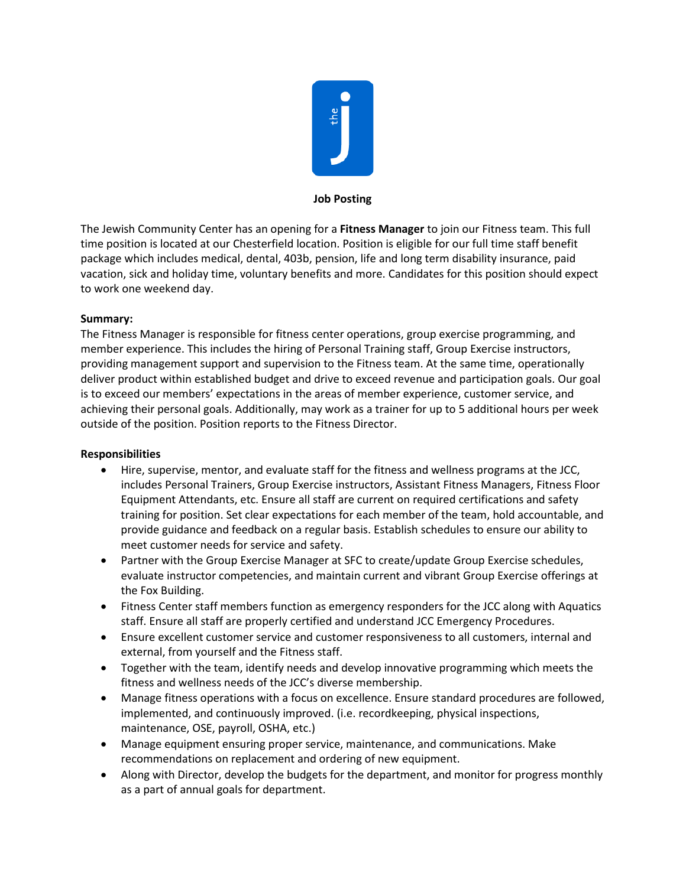

## **Job Posting**

The Jewish Community Center has an opening for a **Fitness Manager** to join our Fitness team. This full time position is located at our Chesterfield location. Position is eligible for our full time staff benefit package which includes medical, dental, 403b, pension, life and long term disability insurance, paid vacation, sick and holiday time, voluntary benefits and more. Candidates for this position should expect to work one weekend day.

## **Summary:**

The Fitness Manager is responsible for fitness center operations, group exercise programming, and member experience. This includes the hiring of Personal Training staff, Group Exercise instructors, providing management support and supervision to the Fitness team. At the same time, operationally deliver product within established budget and drive to exceed revenue and participation goals. Our goal is to exceed our members' expectations in the areas of member experience, customer service, and achieving their personal goals. Additionally, may work as a trainer for up to 5 additional hours per week outside of the position. Position reports to the Fitness Director.

## **Responsibilities**

- Hire, supervise, mentor, and evaluate staff for the fitness and wellness programs at the JCC, includes Personal Trainers, Group Exercise instructors, Assistant Fitness Managers, Fitness Floor Equipment Attendants, etc. Ensure all staff are current on required certifications and safety training for position. Set clear expectations for each member of the team, hold accountable, and provide guidance and feedback on a regular basis. Establish schedules to ensure our ability to meet customer needs for service and safety.
- Partner with the Group Exercise Manager at SFC to create/update Group Exercise schedules, evaluate instructor competencies, and maintain current and vibrant Group Exercise offerings at the Fox Building.
- Fitness Center staff members function as emergency responders for the JCC along with Aquatics staff. Ensure all staff are properly certified and understand JCC Emergency Procedures.
- Ensure excellent customer service and customer responsiveness to all customers, internal and external, from yourself and the Fitness staff.
- Together with the team, identify needs and develop innovative programming which meets the fitness and wellness needs of the JCC's diverse membership.
- Manage fitness operations with a focus on excellence. Ensure standard procedures are followed, implemented, and continuously improved. (i.e. recordkeeping, physical inspections, maintenance, OSE, payroll, OSHA, etc.)
- Manage equipment ensuring proper service, maintenance, and communications. Make recommendations on replacement and ordering of new equipment.
- Along with Director, develop the budgets for the department, and monitor for progress monthly as a part of annual goals for department.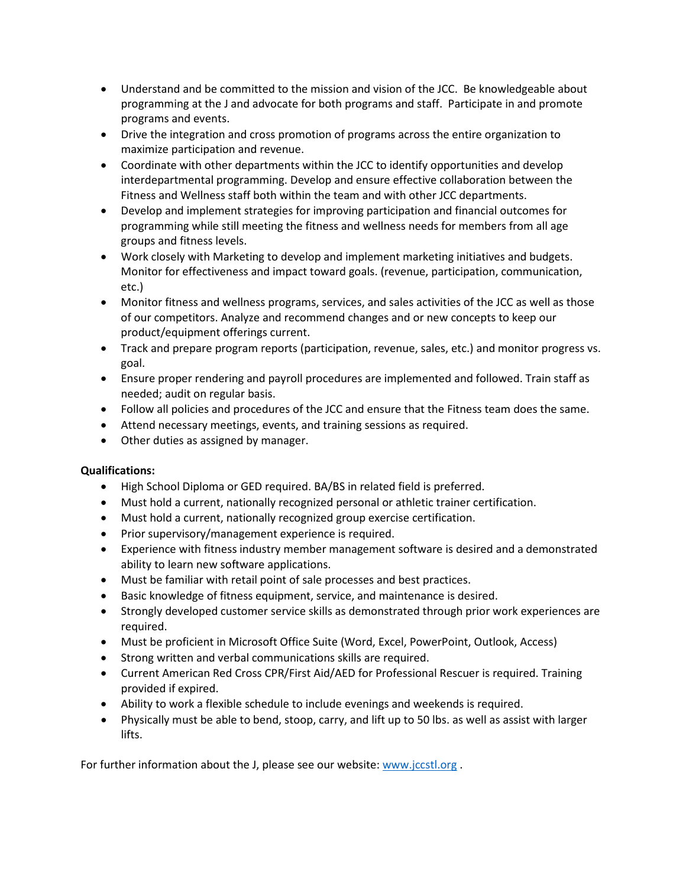- Understand and be committed to the mission and vision of the JCC. Be knowledgeable about programming at the J and advocate for both programs and staff. Participate in and promote programs and events.
- Drive the integration and cross promotion of programs across the entire organization to maximize participation and revenue.
- Coordinate with other departments within the JCC to identify opportunities and develop interdepartmental programming. Develop and ensure effective collaboration between the Fitness and Wellness staff both within the team and with other JCC departments.
- Develop and implement strategies for improving participation and financial outcomes for programming while still meeting the fitness and wellness needs for members from all age groups and fitness levels.
- Work closely with Marketing to develop and implement marketing initiatives and budgets. Monitor for effectiveness and impact toward goals. (revenue, participation, communication, etc.)
- Monitor fitness and wellness programs, services, and sales activities of the JCC as well as those of our competitors. Analyze and recommend changes and or new concepts to keep our product/equipment offerings current.
- Track and prepare program reports (participation, revenue, sales, etc.) and monitor progress vs. goal.
- Ensure proper rendering and payroll procedures are implemented and followed. Train staff as needed; audit on regular basis.
- Follow all policies and procedures of the JCC and ensure that the Fitness team does the same.
- Attend necessary meetings, events, and training sessions as required.
- Other duties as assigned by manager.

## **Qualifications:**

- High School Diploma or GED required. BA/BS in related field is preferred.
- Must hold a current, nationally recognized personal or athletic trainer certification.
- Must hold a current, nationally recognized group exercise certification.
- Prior supervisory/management experience is required.
- Experience with fitness industry member management software is desired and a demonstrated ability to learn new software applications.
- Must be familiar with retail point of sale processes and best practices.
- Basic knowledge of fitness equipment, service, and maintenance is desired.
- Strongly developed customer service skills as demonstrated through prior work experiences are required.
- Must be proficient in Microsoft Office Suite (Word, Excel, PowerPoint, Outlook, Access)
- Strong written and verbal communications skills are required.
- Current American Red Cross CPR/First Aid/AED for Professional Rescuer is required. Training provided if expired.
- Ability to work a flexible schedule to include evenings and weekends is required.
- Physically must be able to bend, stoop, carry, and lift up to 50 lbs. as well as assist with larger lifts.

For further information about the J, please see our website[: www.jccstl.org](http://www.jccstl.org/) .